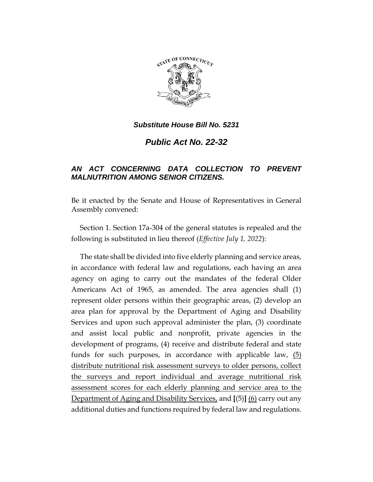

## *Substitute House Bill No. 5231*

*Public Act No. 22-32*

## *AN ACT CONCERNING DATA COLLECTION TO PREVENT MALNUTRITION AMONG SENIOR CITIZENS.*

Be it enacted by the Senate and House of Representatives in General Assembly convened:

Section 1. Section 17a-304 of the general statutes is repealed and the following is substituted in lieu thereof (*Effective July 1, 2022*):

The state shall be divided into five elderly planning and service areas, in accordance with federal law and regulations, each having an area agency on aging to carry out the mandates of the federal Older Americans Act of 1965, as amended. The area agencies shall (1) represent older persons within their geographic areas, (2) develop an area plan for approval by the Department of Aging and Disability Services and upon such approval administer the plan, (3) coordinate and assist local public and nonprofit, private agencies in the development of programs, (4) receive and distribute federal and state funds for such purposes, in accordance with applicable law, (5) distribute nutritional risk assessment surveys to older persons, collect the surveys and report individual and average nutritional risk assessment scores for each elderly planning and service area to the Department of Aging and Disability Services, and **[**(5)**]** (6) carry out any additional duties and functions required by federal law and regulations.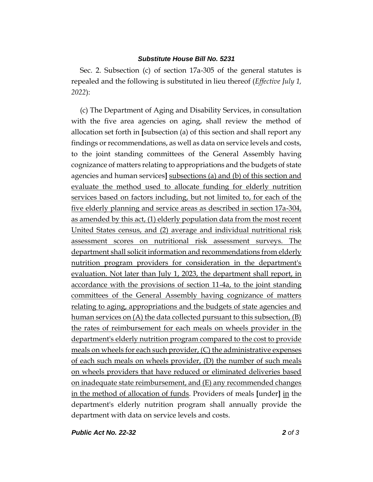## *Substitute House Bill No. 5231*

Sec. 2. Subsection (c) of section 17a-305 of the general statutes is repealed and the following is substituted in lieu thereof (*Effective July 1, 2022*):

(c) The Department of Aging and Disability Services, in consultation with the five area agencies on aging, shall review the method of allocation set forth in **[**subsection (a) of this section and shall report any findings or recommendations, as well as data on service levels and costs, to the joint standing committees of the General Assembly having cognizance of matters relating to appropriations and the budgets of state agencies and human services**]** subsections (a) and (b) of this section and evaluate the method used to allocate funding for elderly nutrition services based on factors including, but not limited to, for each of the five elderly planning and service areas as described in section 17a-304, as amended by this act, (1) elderly population data from the most recent United States census, and (2) average and individual nutritional risk assessment scores on nutritional risk assessment surveys. The department shall solicit information and recommendations from elderly nutrition program providers for consideration in the department's evaluation. Not later than July 1, 2023, the department shall report, in accordance with the provisions of section 11-4a, to the joint standing committees of the General Assembly having cognizance of matters relating to aging, appropriations and the budgets of state agencies and human services on (A) the data collected pursuant to this subsection, (B) the rates of reimbursement for each meals on wheels provider in the department's elderly nutrition program compared to the cost to provide meals on wheels for each such provider, (C) the administrative expenses of each such meals on wheels provider, (D) the number of such meals on wheels providers that have reduced or eliminated deliveries based on inadequate state reimbursement, and (E) any recommended changes in the method of allocation of funds. Providers of meals **[**under**]** in the department's elderly nutrition program shall annually provide the department with data on service levels and costs.

*Public Act No. 22-32 2 of 3*